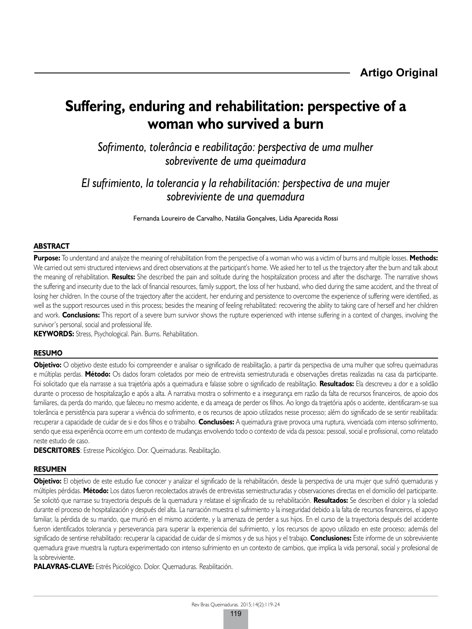# **Suffering, enduring and rehabilitation: perspective of a woman who survived a burn**

*Sofrimento, tolerância e reabilitação: perspectiva de uma mulher sobrevivente de uma queimadura*

*El sufrimiento, la tolerancia y la rehabilitación: perspectiva de una mujer sobreviviente de una quemadura*

Fernanda Loureiro de Carvalho, Natália Gonçalves, Lidia Aparecida Rossi

## **ABSTRACT**

**Purpose:** To understand and analyze the meaning of rehabilitation from the perspective of a woman who was a victim of burns and multiple losses. **Methods:** We carried out semi structured interviews and direct observations at the participant's home. We asked her to tell us the trajectory after the burn and talk about the meaning of rehabilitation. **Results:** She described the pain and solitude during the hospitalization process and after the discharge. The narrative shows the suffering and insecurity due to the lack of financial resources, family support, the loss of her husband, who died during the same accident, and the threat of losing her children. In the course of the trajectory after the accident, her enduring and persistence to overcome the experience of suffering were identified, as well as the support resources used in this process; besides the meaning of feeling rehabilitated: recovering the ability to taking care of herself and her children and work. **Conclusions:** This report of a severe burn survivor shows the rupture experienced with intense suffering in a context of changes, involving the survivor's personal, social and professional life.

**KEYWORDS:** Stress, Psychological. Pain. Burns. Rehabilitation.

#### **RESUMO**

**Objetivo:** O objetivo deste estudo foi compreender e analisar o significado de reabilitação, a partir da perspectiva de uma mulher que sofreu queimaduras e múltiplas perdas. **Método:** Os dados foram coletados por meio de entrevista semiestruturada e observações diretas realizadas na casa da participante. Foi solicitado que ela narrasse a sua trajetória após a queimadura e falasse sobre o significado de reabilitação. **Resultados:** Ela descreveu a dor e a solidão durante o processo de hospitalização e após a alta. A narrativa mostra o sofrimento e a insegurança em razão da falta de recursos financeiros, de apoio dos familiares, da perda do marido, que faleceu no mesmo acidente, e da ameaça de perder os filhos. Ao longo da trajetória após o acidente, identificaram-se sua tolerância e persistência para superar a vivência do sofrimento, e os recursos de apoio utilizados nesse processo; além do significado de se sentir reabilitada: recuperar a capacidade de cuidar de si e dos filhos e o trabalho. **Conclusões:** A queimadura grave provoca uma ruptura, vivenciada com intenso sofrimento, sendo que essa experiência ocorre em um contexto de mudanças envolvendo todo o contexto de vida da pessoa: pessoal, social e profissional, como relatado neste estudo de caso.

**DESCRITORES**: Estresse Psicológico. Dor. Queimaduras. Reabilitação.

#### **RESUMEN**

**Objetivo:** El objetivo de este estudio fue conocer y analizar el significado de la rehabilitación, desde la perspectiva de una mujer que sufrió quemaduras y múltiples pérdidas. **Método:** Los datos fueron recolectados através de entrevistas semiestructuradas y observaciones directas en el domicilio del participante. Se solicitó que narrase su trayectoria después de la quemadura y relatase el significado de su rehabilitación. **Resultados:** Se describen el dolor y la soledad durante el proceso de hospitalización y después del alta. La narración muestra el sufrimiento y la inseguridad debido a la falta de recursos financeiros, el apoyo familiar, la pérdida de su marido, que murió en el mismo accidente, y la amenaza de perder a sus hijos. En el curso de la trayectoria después del accidente fueron identificados tolerancia y perseverancia para superar la experiencia del sufrimiento, y los recursos de apoyo utilizado en este proceso; además del significado de sentirse rehabilitado: recuperar la capacidad de cuidar de sí mismos y de sus hijos y el trabajo. **Conclusiones:** Este informe de un sobreviviente quemadura grave muestra la ruptura experimentado con intenso sufrimiento en un contexto de cambios, que implica la vida personal, social y profesional de la sobreviviente.

**PALAVRAS-CLAVE:** Estrés Psicológico. Dolor. Quemaduras. Reabilitación.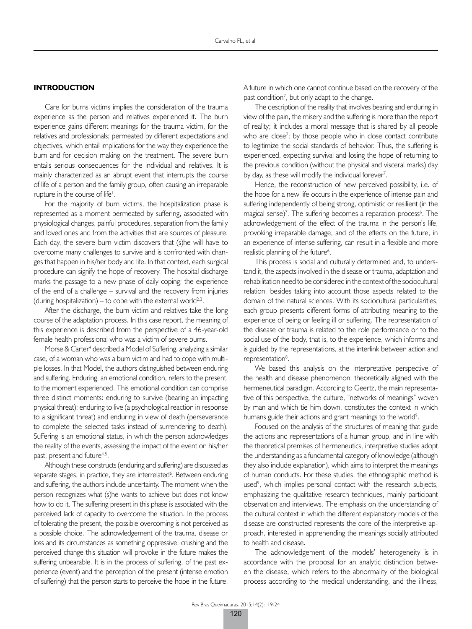#### **INTRODUCTION**

Care for burns victims implies the consideration of the trauma experience as the person and relatives experienced it. The burn experience gains different meanings for the trauma victim, for the relatives and professionals; permeated by different expectations and objectives, which entail implications for the way they experience the burn and for decision making on the treatment. The severe burn entails serious consequences for the individual and relatives. It is mainly characterized as an abrupt event that interrupts the course of life of a person and the family group, often causing an irreparable rupture in the course of life<sup> $\mathsf{I}$ </sup>.

For the majority of burn victims, the hospitalization phase is represented as a moment permeated by suffering, associated with physiological changes, painful procedures, separation from the family and loved ones and from the activities that are sources of pleasure. Each day, the severe burn victim discovers that (s)he will have to overcome many challenges to survive and is confronted with changes that happen in his/her body and life. In that context, each surgical procedure can signify the hope of recovery. The hospital discharge marks the passage to a new phase of daily coping; the experience of the end of a challenge – survival and the recovery from injuries (during hospitalization) – to cope with the external world<sup>2,3</sup>.

After the discharge, the burn victim and relatives take the long course of the adaptation process. In this case report, the meaning of this experience is described from the perspective of a 46-year-old female health professional who was a victim of severe burns.

Morse & Carter<sup>4</sup> described a Model of Suffering, analyzing a similar case, of a woman who was a burn victim and had to cope with multiple losses. In that Model, the authors distinguished between enduring and suffering. Enduring, an emotional condition, refers to the present, to the moment experienced. This emotional condition can comprise three distinct moments: enduring to survive (bearing an impacting physical threat); enduring to live (a psychological reaction in response to a significant threat) and enduring in view of death (perseverance to complete the selected tasks instead of surrendering to death). Suffering is an emotional status, in which the person acknowledges the reality of the events, assessing the impact of the event on his/her past, present and future<sup>4,5</sup>.

Although these constructs (enduring and suffering) are discussed as separate stages, in practice, they are interrelated<sup>6</sup>. Between enduring and suffering, the authors include uncertainty. The moment when the person recognizes what (s)he wants to achieve but does not know how to do it. The suffering present in this phase is associated with the perceived lack of capacity to overcome the situation. In the process of tolerating the present, the possible overcoming is not perceived as a possible choice. The acknowledgement of the trauma, disease or loss and its circumstances as something oppressive, crushing and the perceived change this situation will provoke in the future makes the suffering unbearable. It is in the process of suffering, of the past experience (event) and the perception of the present (intense emotion of suffering) that the person starts to perceive the hope in the future.

A future in which one cannot continue based on the recovery of the past condition<sup>7</sup>, but only adapt to the change.

The description of the reality that involves bearing and enduring in view of the pain, the misery and the suffering is more than the report of reality; it includes a moral message that is shared by all people who are close<sup>7</sup>; by those people who in close contact contribute to legitimize the social standards of behavior. Thus, the suffering is experienced, expecting survival and losing the hope of returning to the previous condition (without the physical and visceral marks) day by day, as these will modify the individual forever<sup>7</sup>.

Hence, the reconstruction of new perceived possibility, i.e. of the hope for a new life occurs in the experience of intense pain and suffering independently of being strong, optimistic or resilient (in the magical sense)<sup>7</sup>. The suffering becomes a reparation process<sup>6</sup>. The acknowledgement of the effect of the trauma in the person's life, provoking irreparable damage, and of the effects on the future, in an experience of intense suffering, can result in a flexible and more realistic planning of the future<sup>6</sup>.

This process is social and culturally determined and, to understand it, the aspects involved in the disease or trauma, adaptation and rehabilitation need to be considered in the context of the sociocultural relation, besides taking into account those aspects related to the domain of the natural sciences. With its sociocultural particularities, each group presents different forms of attributing meaning to the experience of being or feeling ill or suffering. The representation of the disease or trauma is related to the role performance or to the social use of the body, that is, to the experience, which informs and is guided by the representations, at the interlink between action and representation<sup>8</sup>.

We based this analysis on the interpretative perspective of the health and disease phenomenon, theoretically aligned with the hermeneutical paradigm. According to Geertz, the main representative of this perspective, the culture, "networks of meanings" woven by man and which tie him down, constitutes the context in which humans guide their actions and grant meanings to the world<sup>9</sup>.

Focused on the analysis of the structures of meaning that guide the actions and representations of a human group, and in line with the theoretical premises of hermeneutics, interpretive studies adopt the understanding as a fundamental category of knowledge (although they also include explanation), which aims to interpret the meanings of human conducts. For these studies, the ethnographic method is used<sup>9</sup>, which implies personal contact with the research subjects, emphasizing the qualitative research techniques, mainly participant observation and interviews. The emphasis on the understanding of the cultural context in which the different explanatory models of the disease are constructed represents the core of the interpretive approach, interested in apprehending the meanings socially attributed to health and disease.

The acknowledgement of the models' heterogeneity is in accordance with the proposal for an analytic distinction between the disease, which refers to the abnormality of the biological process according to the medical understanding, and the illness,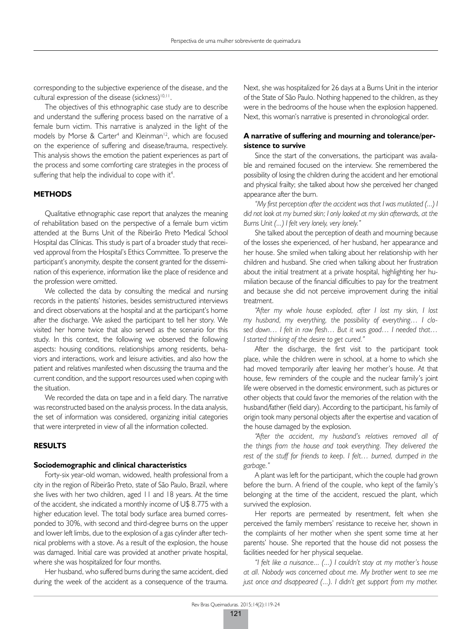corresponding to the subjective experience of the disease, and the cultural expression of the disease (sickness)<sup>10,11</sup>.

The objectives of this ethnographic case study are to describe and understand the suffering process based on the narrative of a female burn victim. This narrative is analyzed in the light of the models by Morse & Carter<sup>4</sup> and Kleinman<sup>12</sup>, which are focused on the experience of suffering and disease/trauma, respectively. This analysis shows the emotion the patient experiences as part of the process and some comforting care strategies in the process of suffering that help the individual to cope with it<sup>4</sup>.

## **METHODS**

Qualitative ethnographic case report that analyzes the meaning of rehabilitation based on the perspective of a female burn victim attended at the Burns Unit of the Ribeirão Preto Medical School Hospital das Clínicas. This study is part of a broader study that received approval from the Hospital's Ethics Committee. To preserve the participant's anonymity, despite the consent granted for the dissemination of this experience, information like the place of residence and the profession were omitted.

We collected the data by consulting the medical and nursing records in the patients' histories, besides semistructured interviews and direct observations at the hospital and at the participant's home after the discharge. We asked the participant to tell her story. We visited her home twice that also served as the scenario for this study. In this context, the following we observed the following aspects: housing conditions, relationships among residents, behaviors and interactions, work and leisure activities, and also how the patient and relatives manifested when discussing the trauma and the current condition, and the support resources used when coping with the situation.

We recorded the data on tape and in a field diary. The narrative was reconstructed based on the analysis process. In the data analysis, the set of information was considered, organizing initial categories that were interpreted in view of all the information collected.

## **RESULTS**

#### **Sociodemographic and clinical characteristics**

Forty-six year-old woman, widowed, health professional from a city in the region of Ribeirão Preto, state of São Paulo, Brazil, where she lives with her two children, aged 11 and 18 years. At the time of the accident, she indicated a monthly income of U\$ 8.775 with a higher education level. The total body surface area burned corresponded to 30%, with second and third-degree burns on the upper and lower left limbs, due to the explosion of a gas cylinder after technical problems with a stove. As a result of the explosion, the house was damaged. Initial care was provided at another private hospital, where she was hospitalized for four months.

Her husband, who suffered burns during the same accident, died during the week of the accident as a consequence of the trauma.

Next, she was hospitalized for 26 days at a Burns Unit in the interior of the State of São Paulo. Nothing happened to the children, as they were in the bedrooms of the house when the explosion happened. Next, this woman's narrative is presented in chronological order.

## **A narrative of suffering and mourning and tolerance/persistence to survive**

Since the start of the conversations, the participant was available and remained focused on the interview. She remembered the possibility of losing the children during the accident and her emotional and physical frailty; she talked about how she perceived her changed appearance after the burn.

*"My first perception after the accident was that I was mutilated (...) I did not look at my burned skin; I only looked at my skin afterwards, at the Burns Unit (...) I felt very lonely, very lonely."*

She talked about the perception of death and mourning because of the losses she experienced, of her husband, her appearance and her house. She smiled when talking about her relationship with her children and husband. She cried when talking about her frustration about the initial treatment at a private hospital, highlighting her humiliation because of the financial difficulties to pay for the treatment and because she did not perceive improvement during the initial treatment.

*"After my whole house exploded, after I lost my skin, I lost my husband, my everything, the possibility of everything… I closed down… I felt in raw flesh… But it was good… I needed that… I started thinking of the desire to get cured."*

After the discharge, the first visit to the participant took place, while the children were in school, at a home to which she had moved temporarily after leaving her mother's house. At that house, few reminders of the couple and the nuclear family's joint life were observed in the domestic environment, such as pictures or other objects that could favor the memories of the relation with the husband/father (field diary). According to the participant, his family of origin took many personal objects after the expertise and vacation of the house damaged by the explosion.

*"After the accident, my husband's relatives removed all of the things from the house and took everything. They delivered the rest of the stuff for friends to keep. I felt… burned, dumped in the garbage."*

A plant was left for the participant, which the couple had grown before the burn. A friend of the couple, who kept of the family's belonging at the time of the accident, rescued the plant, which survived the explosion.

Her reports are permeated by resentment, felt when she perceived the family members' resistance to receive her, shown in the complaints of her mother when she spent some time at her parents' house. She reported that the house did not possess the facilities needed for her physical sequelae.

*"I felt like a nuisance... (...) I couldn't stay at my mother's house at all. Nobody was concerned about me. My brother went to see me just once and disappeared (...). I didn't get support from my mother.*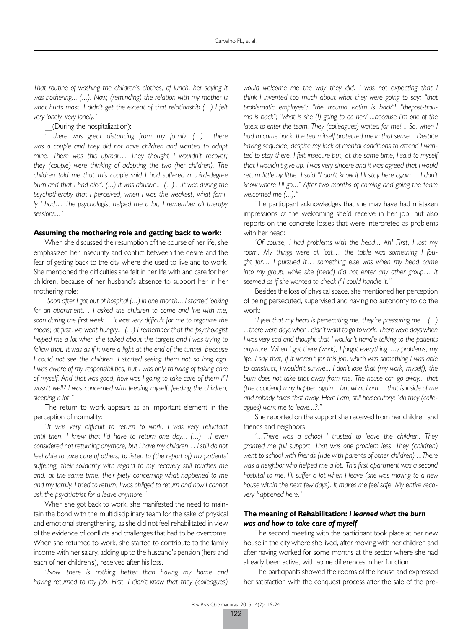*That routine of washing the children's clothes, of lunch, her saying it was bothering... (...). Now, (reminding) the relation with my mother is what hurts most. I didn't get the extent of that relationship (...) I felt very lonely, very lonely."*

\_\_(During the hospitalization):

*"...there was great distancing from my family. (...) ...there was a couple and they did not have children and wanted to adopt mine. There was this uproar… They thought I wouldn't recover; they (couple) were thinking of adopting the two (her children). The children told me that this couple said I had suffered a third-degree burn and that I had died. (...) It was abusive... (...) ...it was during the psychotherapy that I perceived, when I was the weakest, what family I had… The psychologist helped me a lot, I remember all therapy sessions..."*

#### **Assuming the mothering role and getting back to work:**

When she discussed the resumption of the course of her life, she emphasized her insecurity and conflict between the desire and the fear of getting back to the city where she used to live and to work. She mentioned the difficulties she felt in her life with and care for her children, because of her husband's absence to support her in her mothering role:

*"Soon after I got out of hospital (...) in one month... I started looking for an apartment… I asked the children to come and live with me, soon during the first week… It was very difficult for me to organize the meals; at first, we went hungry... (...) I remember that the psychologist helped me a lot when she talked about the targets and I was trying to follow that. It was as if it were a light at the end of the tunnel, because I could not see the children. I started seeing them not so long ago. I was aware of my responsibilities, but I was only thinking of taking care of myself. And that was good, how was I going to take care of them if I wasn't well? I was concerned with feeding myself, feeding the children, sleeping a lot."*

The return to work appears as an important element in the perception of normality:

*"It was very difficult to return to work, I was very reluctant until then. I knew that I'd have to return one day... (...) ...I even considered not returning anymore, but I have my children… I still do not feel able to take care of others, to listen to (the report of) my patients' suffering, their solidarity with regard to my recovery still touches me and, at the same time, their piety concerning what happened to me and my family. I tried to return; I was obliged to return and now I cannot ask the psychiatrist for a leave anymore."*

When she got back to work, she manifested the need to maintain the bond with the multidisciplinary team for the sake of physical and emotional strengthening, as she did not feel rehabilitated in view of the evidence of conflicts and challenges that had to be overcome. When she returned to work, she started to contribute to the family income with her salary, adding up to the husband's pension (hers and each of her children's), received after his loss.

*"Now, there is nothing better than having my home and having returned to my job. First, I didn't know that they (colleagues)* 

*would welcome me the way they did. I was not expecting that I think I invented too much about what they were going to say: "that problematic employee"; "the trauma victim is back"! "thepost-trauma is back"; "what is she (I) going to do her? ...because I'm one of the latest to enter the team. They (colleagues) waited for me!... So, when I had to come back, the team itself protected me in that sense... Despite having sequelae, despite my lack of mental conditions to attend I wanted to stay there. I felt insecure but, at the same time, I said to myself that I wouldn't give up. I was very sincere and it was agreed that I would return little by little. I said "I don't know if I'll stay here again… I don't know where I'll go..." After two months of coming and going the team welcomed me (...)."*

The participant acknowledges that she may have had mistaken impressions of the welcoming she'd receive in her job, but also reports on the concrete losses that were interpreted as problems with her head:

*"Of course, I had problems with the head... Ah! First, I lost my room. My things were all lost… the table was something I fought for… I pursued it… something else was when my head came*  into my group, while she (head) did not enter any other group... it *seemed as if she wanted to check if I could handle it."*

Besides the loss of physical space, she mentioned her perception of being persecuted, supervised and having no autonomy to do the work:

*"I feel that my head is persecuting me, they're pressuring me... (...) ...there were days when I didn't want to go to work. There were days when I* was very sad and thought that *I* wouldn't handle talking to the patients *anymore. When I got there (work), I forgot everything, my problems, my life. I say that, if it weren't for this job, which was something I was able to construct, I wouldn't survive... I don't lose that (my work, myself), the burn does not take that away from me. The house can go away... that (the accident) may happen again... but what I am... that is inside of me and nobody takes that away. Here I am, still persecutory: "do they (colleagues) want me to leave...?."*

She reported on the support she received from her children and friends and neighbors:

*"...There was a school I trusted to leave the children. They granted me full support. That was one problem less. They (children) went to school with friends (ride with parents of other children) ...There was a neighbor who helped me a lot. This first apartment was a second hospital to me, I'll suffer a lot when I leave (she was moving to a new house within the next few days). It makes me feel safe. My entire recovery happened here."*

## **The meaning of Rehabilitation:** *I learned what the burn was and how to take care of myself*

The second meeting with the participant took place at her new house in the city where she lived, after moving with her children and after having worked for some months at the sector where she had already been active, with some differences in her function.

The participants showed the rooms of the house and expressed her satisfaction with the conquest process after the sale of the pre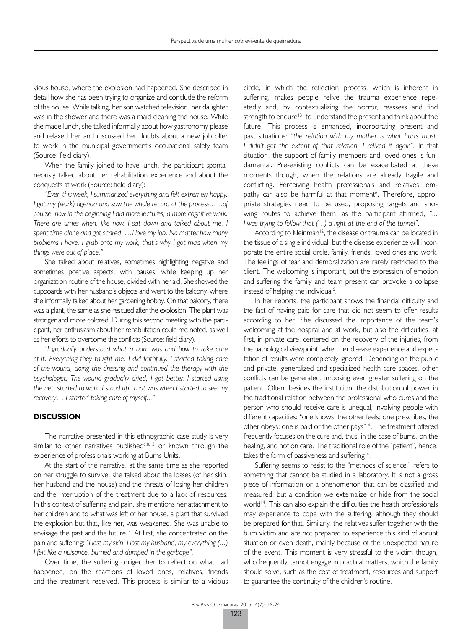vious house, where the explosion had happened. She described in detail how she has been trying to organize and conclude the reform of the house. While talking, her son watched television, her daughter was in the shower and there was a maid cleaning the house. While she made lunch, she talked informally about how gastronomy please and relaxed her and discussed her doubts about a new job offer to work in the municipal government's occupational safety team (Source: field diary).

When the family joined to have lunch, the participant spontaneously talked about her rehabilitation experience and about the conquests at work (Source: field diary):

*"Even this week, I summarized everything and felt extremely happy. I got my (work) agenda and saw the whole record of the process... ...of course, now in the beginning I did more lectures, a more cognitive work. There are times when, like now, I sat down and talked about me, I spent time alone and got scared. …I love my job. No matter how many problems I have, I grab onto my work, that's why I got mad when my things were out of place."*

She talked about relatives, sometimes highlighting negative and sometimes positive aspects, with pauses, while keeping up her organization routine of the house, divided with her aid. She showed the cupboards with her husband's objects and went to the balcony, where she informally talked about her gardening hobby. On that balcony, there was a plant, the same as she rescued after the explosion. The plant was stronger and more colored. During this second meeting with the participant, her enthusiasm about her rehabilitation could me noted, as well as her efforts to overcome the conflicts (Source: field diary).

*"I gradually understood what a burn was and how to take care of it. Everything they taught me, I did faithfully. I started taking care of the wound, doing the dressing and continued the therapy with the psychologist. The wound gradually dried, I got better. I started using the net, started to walk, I stood up. That was when I started to see my recovery… I started taking care of myself..."*

#### **DISCUSSION**

The narrative presented in this ethnographic case study is very similar to other narratives published<sup>6,8,13</sup> or known through the experience of professionals working at Burns Units.

At the start of the narrative, at the same time as she reported on her struggle to survive, she talked about the losses (of her skin, her husband and the house) and the threats of losing her children and the interruption of the treatment due to a lack of resources. In this context of suffering and pain, she mentions her attachment to her children and to what was left of her house, a plant that survived the explosion but that, like her, was weakened. She was unable to envisage the past and the future<sup>13</sup>. At first, she concentrated on the pain and suffering: *"I lost my skin, I lost my husband, my everything (...) I felt like a nuisance, burned and dumped in the garbage".*

Over time, the suffering obliged her to reflect on what had happened, on the reactions of loved ones, relatives, friends and the treatment received. This process is similar to a vicious

circle, in which the reflection process, which is inherent in suffering, makes people relive the trauma experience repeatedly and, by contextualizing the horror, reassess and find strength to endure<sup>13</sup>, to understand the present and think about the future. This process is enhanced, incorporating present and past situations: *"the relation with my mother is what hurts must. I didn't get the extent of that relation, I relived it again".* In that situation, the support of family members and loved ones is fundamental. Pre-existing conflicts can be exacerbated at these moments though, when the relations are already fragile and conflicting. Perceiving health professionals and relatives' empathy can also be harmful at that moment<sup>6</sup>. Therefore, appropriate strategies need to be used, proposing targets and showing routes to achieve them, as the participant affirmed, *"... I was trying to follow that (...) a light at the end of the tunnel".*

According to Kleinman<sup>12</sup>, the disease or trauma can be located in the tissue of a single individual, but the disease experience will incorporate the entire social circle, family, friends, loved ones and work. The feelings of fear and demoralization are rarely restricted to the client. The welcoming is important, but the expression of emotion and suffering the family and team present can provoke a collapse instead of helping the individual<sup>6</sup>.

In her reports, the participant shows the financial difficulty and the fact of having paid for care that did not seem to offer results according to her. She discussed the importance of the team's welcoming at the hospital and at work, but also the difficulties, at first, in private care, centered on the recovery of the injuries, from the pathological viewpoint, when her disease experience and expectation of results were completely ignored. Depending on the public and private, generalized and specialized health care spaces, other conflicts can be generated, imposing even greater suffering on the patient. Often, besides the institution, the distribution of power in the traditional relation between the professional who cures and the person who should receive care is unequal, involving people with different capacities: "one knows, the other feels; one prescribes, the other obeys; one is paid or the other pays"<sup>14</sup>. The treatment offered frequently focuses on the cure and, thus, in the case of burns, on the healing, and not on care. The traditional role of the "patient", hence, takes the form of passiveness and suffering<sup>14</sup>.

Suffering seems to resist to the "methods of science"; refers to something that cannot be studied in a laboratory. It is not a gross piece of information or a phenomenon that can be classified and measured, but a condition we externalize or hide from the social world<sup>14</sup>. This can also explain the difficulties the health professionals may experience to cope with the suffering, although they should be prepared for that. Similarly, the relatives suffer together with the burn victim and are not prepared to experience this kind of abrupt situation or even death, mainly because of the unexpected nature of the event. This moment is very stressful to the victim though, who frequently cannot engage in practical matters, which the family should solve, such as the cost of treatment, resources and support to guarantee the continuity of the children's routine.